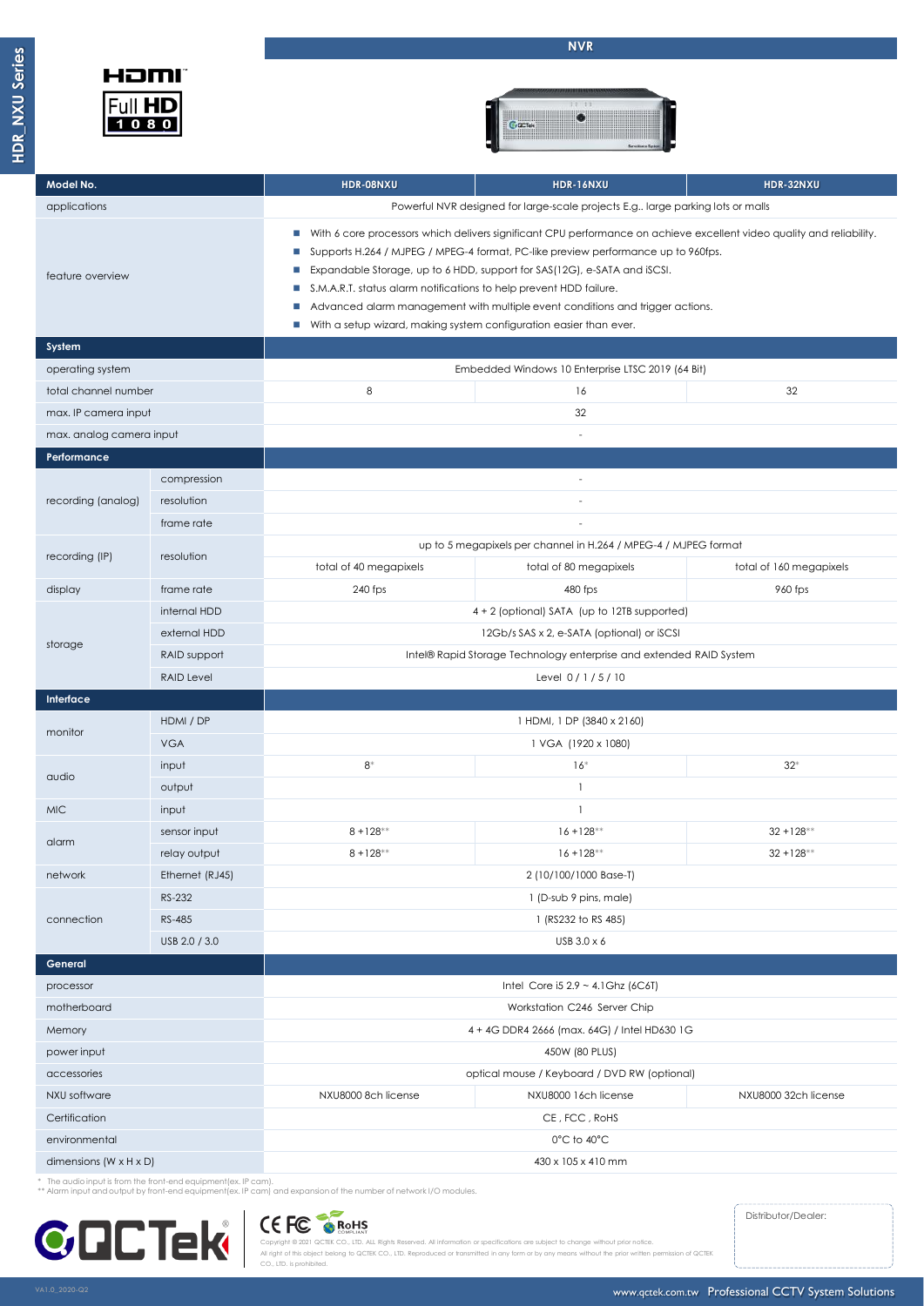



| Model No.                            |                   | HDR-08NXU                                                                                                                                                                                                                                                                                                                                                                                                                                                                                                                            | <b>HDR-16NXU</b>                             | HDR-32NXU               |  |  |
|--------------------------------------|-------------------|--------------------------------------------------------------------------------------------------------------------------------------------------------------------------------------------------------------------------------------------------------------------------------------------------------------------------------------------------------------------------------------------------------------------------------------------------------------------------------------------------------------------------------------|----------------------------------------------|-------------------------|--|--|
| applications                         |                   | Powerful NVR designed for large-scale projects E.g large parking lots or malls                                                                                                                                                                                                                                                                                                                                                                                                                                                       |                                              |                         |  |  |
| feature overview                     |                   | With 6 core processors which delivers significant CPU performance on achieve excellent video quality and reliability.<br>T.<br>Supports H.264 / MJPEG / MPEG-4 format, PC-like preview performance up to 960fps.<br>T.<br>Expandable Storage, up to 6 HDD, support for SAS(12G), e-SATA and iSCSI.<br>ш<br>S.M.A.R.T. status alarm notifications to help prevent HDD failure.<br>Advanced alarm management with multiple event conditions and trigger actions.<br>With a setup wizard, making system configuration easier than ever. |                                              |                         |  |  |
| System                               |                   |                                                                                                                                                                                                                                                                                                                                                                                                                                                                                                                                      |                                              |                         |  |  |
| operating system                     |                   | Embedded Windows 10 Enterprise LTSC 2019 (64 Bit)                                                                                                                                                                                                                                                                                                                                                                                                                                                                                    |                                              |                         |  |  |
| total channel number                 |                   | 8                                                                                                                                                                                                                                                                                                                                                                                                                                                                                                                                    | 16                                           | 32                      |  |  |
| max. IP camera input                 |                   |                                                                                                                                                                                                                                                                                                                                                                                                                                                                                                                                      | 32                                           |                         |  |  |
| max. analog camera input             |                   | $\sim$                                                                                                                                                                                                                                                                                                                                                                                                                                                                                                                               |                                              |                         |  |  |
| Performance                          |                   |                                                                                                                                                                                                                                                                                                                                                                                                                                                                                                                                      |                                              |                         |  |  |
|                                      | compression       |                                                                                                                                                                                                                                                                                                                                                                                                                                                                                                                                      | $\overline{a}$                               |                         |  |  |
| recording (analog)                   | resolution        | $\overline{a}$                                                                                                                                                                                                                                                                                                                                                                                                                                                                                                                       |                                              |                         |  |  |
|                                      | frame rate        |                                                                                                                                                                                                                                                                                                                                                                                                                                                                                                                                      |                                              |                         |  |  |
| recording (IP)                       | resolution        | up to 5 megapixels per channel in H.264 / MPEG-4 / MJPEG format                                                                                                                                                                                                                                                                                                                                                                                                                                                                      |                                              |                         |  |  |
|                                      |                   | total of 40 megapixels                                                                                                                                                                                                                                                                                                                                                                                                                                                                                                               | total of 80 megapixels                       | total of 160 megapixels |  |  |
| display                              | frame rate        | 240 fps                                                                                                                                                                                                                                                                                                                                                                                                                                                                                                                              | 480 fps                                      | 960 fps                 |  |  |
|                                      | internal HDD      | 4 + 2 (optional) SATA (up to 12TB supported)                                                                                                                                                                                                                                                                                                                                                                                                                                                                                         |                                              |                         |  |  |
|                                      | external HDD      | 12Gb/s SAS x 2, e-SATA (optional) or iSCSI                                                                                                                                                                                                                                                                                                                                                                                                                                                                                           |                                              |                         |  |  |
| storage                              | RAID support      | Intel® Rapid Storage Technology enterprise and extended RAID System                                                                                                                                                                                                                                                                                                                                                                                                                                                                  |                                              |                         |  |  |
|                                      | <b>RAID Level</b> | Level 0/1/5/10                                                                                                                                                                                                                                                                                                                                                                                                                                                                                                                       |                                              |                         |  |  |
| Interface                            |                   |                                                                                                                                                                                                                                                                                                                                                                                                                                                                                                                                      |                                              |                         |  |  |
| monitor                              | HDMI / DP         | 1 HDMI, 1 DP (3840 x 2160)                                                                                                                                                                                                                                                                                                                                                                                                                                                                                                           |                                              |                         |  |  |
|                                      | <b>VGA</b>        | 1 VGA (1920 x 1080)                                                                                                                                                                                                                                                                                                                                                                                                                                                                                                                  |                                              |                         |  |  |
| audio                                | input             | $8*$                                                                                                                                                                                                                                                                                                                                                                                                                                                                                                                                 | $16*$                                        | $32*$                   |  |  |
|                                      | output            | $\mathbf{1}$                                                                                                                                                                                                                                                                                                                                                                                                                                                                                                                         |                                              |                         |  |  |
| <b>MIC</b>                           | input             | $\mathbf{1}$                                                                                                                                                                                                                                                                                                                                                                                                                                                                                                                         |                                              |                         |  |  |
| alarm                                | sensor input      | $8 + 128$ **                                                                                                                                                                                                                                                                                                                                                                                                                                                                                                                         | $16 + 128$ **                                | $32 + 128$ **           |  |  |
|                                      | relay output      | $8 + 128$ **                                                                                                                                                                                                                                                                                                                                                                                                                                                                                                                         | $16 + 128**$                                 | $32 + 128$ **           |  |  |
| network                              | Ethernet (RJ45)   | 2 (10/100/1000 Base-T)                                                                                                                                                                                                                                                                                                                                                                                                                                                                                                               |                                              |                         |  |  |
|                                      | RS-232            | 1 (D-sub 9 pins, male)                                                                                                                                                                                                                                                                                                                                                                                                                                                                                                               |                                              |                         |  |  |
| connection                           | RS-485            | 1 (RS232 to RS 485)                                                                                                                                                                                                                                                                                                                                                                                                                                                                                                                  |                                              |                         |  |  |
|                                      | USB 2.0 / 3.0     | USB 3.0 x 6                                                                                                                                                                                                                                                                                                                                                                                                                                                                                                                          |                                              |                         |  |  |
| General                              |                   |                                                                                                                                                                                                                                                                                                                                                                                                                                                                                                                                      |                                              |                         |  |  |
| processor                            |                   | Intel Core i5 $2.9 - 4.1$ Ghz (6C6T)                                                                                                                                                                                                                                                                                                                                                                                                                                                                                                 |                                              |                         |  |  |
| motherboard                          |                   | Workstation C246 Server Chip                                                                                                                                                                                                                                                                                                                                                                                                                                                                                                         |                                              |                         |  |  |
| Memory                               |                   | 4 + 4G DDR4 2666 (max. 64G) / Intel HD630 1G                                                                                                                                                                                                                                                                                                                                                                                                                                                                                         |                                              |                         |  |  |
| power input                          |                   | 450W (80 PLUS)                                                                                                                                                                                                                                                                                                                                                                                                                                                                                                                       |                                              |                         |  |  |
| accessories                          |                   |                                                                                                                                                                                                                                                                                                                                                                                                                                                                                                                                      | optical mouse / Keyboard / DVD RW (optional) |                         |  |  |
| NXU software                         |                   | NXU8000 8ch license                                                                                                                                                                                                                                                                                                                                                                                                                                                                                                                  | NXU8000 16ch license                         | NXU8000 32ch license    |  |  |
| Certification                        |                   | CE, FCC, RoHS                                                                                                                                                                                                                                                                                                                                                                                                                                                                                                                        |                                              |                         |  |  |
| environmental                        |                   | 0°C to 40°C                                                                                                                                                                                                                                                                                                                                                                                                                                                                                                                          |                                              |                         |  |  |
| dimensions ( $W \times H \times D$ ) |                   | 430 x 105 x 410 mm                                                                                                                                                                                                                                                                                                                                                                                                                                                                                                                   |                                              |                         |  |  |

\* The audio input is from the front-end equipment(ex. IP cam). \*\* Alarm input and output by front-end equipment(ex. IP cam) and expansion of the number of network I/O modules.

CO., LTD. is prohibited.



Distributor/Dealer:

CC FC SROHS<br>Copyright © 2021 QCTEK CO., LTD. ALL Rights Reserved. All information or specifications are subject to change without prior notice .<br>ithout the prior written p

www.qctek.com.tw Professional CCTV System Solutions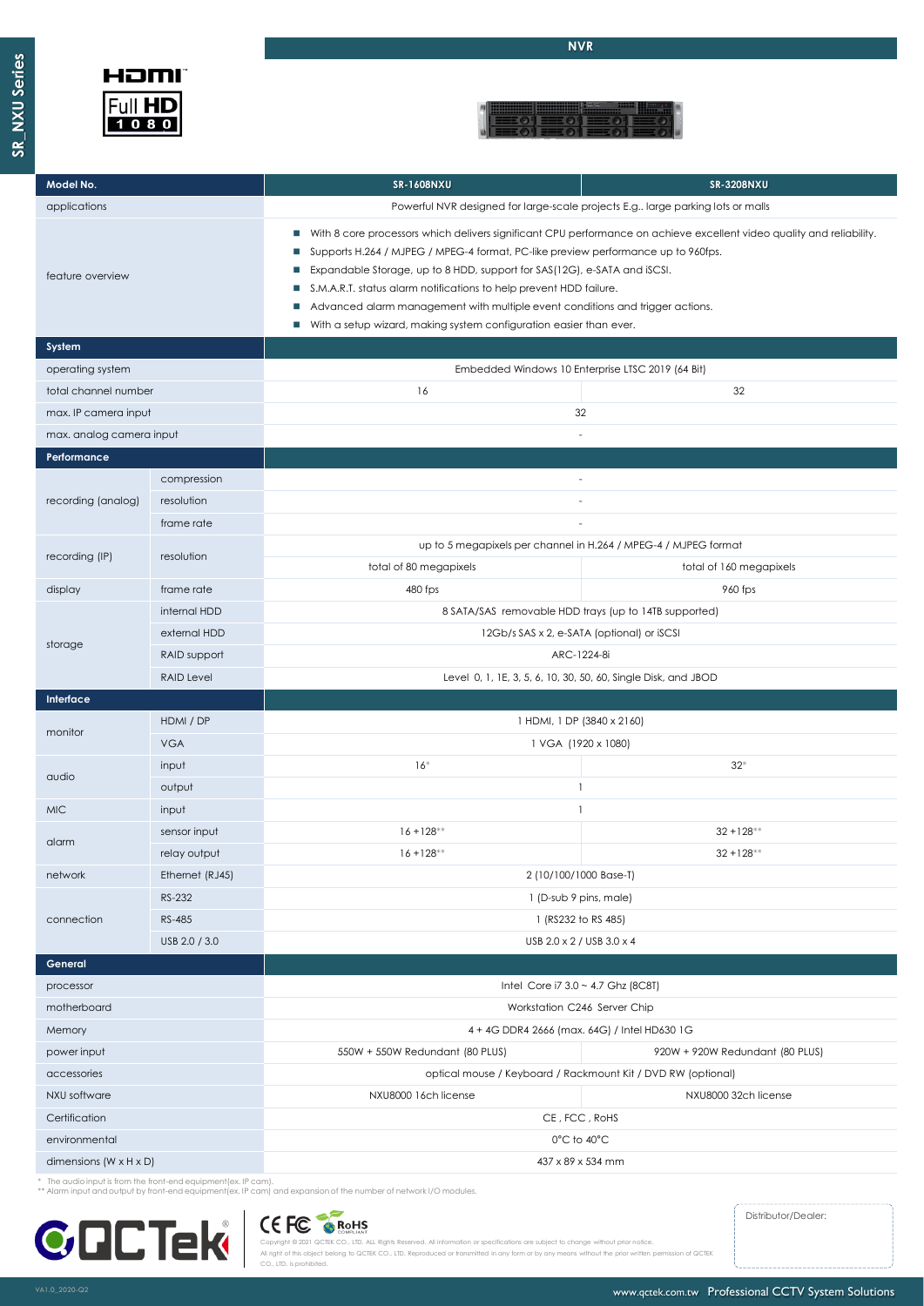## HOMI Full HD<br>1080

**NVR**



| Model No.                          |                 | <b>SR-1608NXU</b><br><b>SR-3208NXU</b>                                                                                                                                                                                                                                                                                                                                                                                                                                                                                            |                         |  |  |
|------------------------------------|-----------------|-----------------------------------------------------------------------------------------------------------------------------------------------------------------------------------------------------------------------------------------------------------------------------------------------------------------------------------------------------------------------------------------------------------------------------------------------------------------------------------------------------------------------------------|-------------------------|--|--|
| applications                       |                 | Powerful NVR designed for large-scale projects E.g large parking lots or malls                                                                                                                                                                                                                                                                                                                                                                                                                                                    |                         |  |  |
| feature overview                   |                 | With 8 core processors which delivers significant CPU performance on achieve excellent video quality and reliability.<br><b>COL</b><br>Supports H.264 / MJPEG / MPEG-4 format, PC-like preview performance up to 960fps.<br>Expandable Storage, up to 8 HDD, support for SAS(12G), e-SATA and iSCSI.<br>S.M.A.R.T. status alarm notifications to help prevent HDD failure.<br>Advanced alarm management with multiple event conditions and trigger actions.<br>With a setup wizard, making system configuration easier than ever. |                         |  |  |
| System                             |                 |                                                                                                                                                                                                                                                                                                                                                                                                                                                                                                                                   |                         |  |  |
| operating system                   |                 | Embedded Windows 10 Enterprise LTSC 2019 (64 Bit)                                                                                                                                                                                                                                                                                                                                                                                                                                                                                 |                         |  |  |
| total channel number               |                 | 16                                                                                                                                                                                                                                                                                                                                                                                                                                                                                                                                | 32                      |  |  |
| max. IP camera input               |                 | 32                                                                                                                                                                                                                                                                                                                                                                                                                                                                                                                                |                         |  |  |
| max. analog camera input           |                 | $\sim$                                                                                                                                                                                                                                                                                                                                                                                                                                                                                                                            |                         |  |  |
| Performance                        |                 |                                                                                                                                                                                                                                                                                                                                                                                                                                                                                                                                   |                         |  |  |
| recording (analog)                 | compression     | $\sim$                                                                                                                                                                                                                                                                                                                                                                                                                                                                                                                            |                         |  |  |
|                                    | resolution      | $\sim$                                                                                                                                                                                                                                                                                                                                                                                                                                                                                                                            |                         |  |  |
|                                    | frame rate      |                                                                                                                                                                                                                                                                                                                                                                                                                                                                                                                                   |                         |  |  |
| recording (IP)                     | resolution      | up to 5 megapixels per channel in H.264 / MPEG-4 / MJPEG format                                                                                                                                                                                                                                                                                                                                                                                                                                                                   |                         |  |  |
|                                    |                 | total of 80 megapixels                                                                                                                                                                                                                                                                                                                                                                                                                                                                                                            | total of 160 megapixels |  |  |
| display                            | frame rate      | 480 fps                                                                                                                                                                                                                                                                                                                                                                                                                                                                                                                           | 960 fps                 |  |  |
|                                    | internal HDD    | 8 SATA/SAS removable HDD trays (up to 14TB supported)                                                                                                                                                                                                                                                                                                                                                                                                                                                                             |                         |  |  |
| storage                            | external HDD    | 12Gb/s SAS x 2, e-SATA (optional) or iSCSI                                                                                                                                                                                                                                                                                                                                                                                                                                                                                        |                         |  |  |
|                                    | RAID support    | ARC-1224-8i                                                                                                                                                                                                                                                                                                                                                                                                                                                                                                                       |                         |  |  |
| <b>RAID Level</b>                  |                 | Level 0, 1, 1E, 3, 5, 6, 10, 30, 50, 60, Single Disk, and JBOD                                                                                                                                                                                                                                                                                                                                                                                                                                                                    |                         |  |  |
| Interface                          |                 |                                                                                                                                                                                                                                                                                                                                                                                                                                                                                                                                   |                         |  |  |
| monitor                            | HDMI / DP       | 1 HDMI, 1 DP (3840 x 2160)                                                                                                                                                                                                                                                                                                                                                                                                                                                                                                        |                         |  |  |
|                                    | <b>VGA</b>      | 1 VGA (1920 x 1080)                                                                                                                                                                                                                                                                                                                                                                                                                                                                                                               |                         |  |  |
| audio                              | input           | $16*$                                                                                                                                                                                                                                                                                                                                                                                                                                                                                                                             | $32*$                   |  |  |
|                                    | output          | $\mathbf{1}$                                                                                                                                                                                                                                                                                                                                                                                                                                                                                                                      |                         |  |  |
| <b>MIC</b>                         | input           | $\mathbf{1}$                                                                                                                                                                                                                                                                                                                                                                                                                                                                                                                      |                         |  |  |
| alarm                              | sensor input    | $16 + 128$ **                                                                                                                                                                                                                                                                                                                                                                                                                                                                                                                     | $32 + 128$ **           |  |  |
|                                    | relay output    | $16 + 128**$                                                                                                                                                                                                                                                                                                                                                                                                                                                                                                                      | $32 + 128$ **           |  |  |
| network                            | Ethernet (RJ45) | 2 (10/100/1000 Base-T)                                                                                                                                                                                                                                                                                                                                                                                                                                                                                                            |                         |  |  |
|                                    | RS-232          | 1 (D-sub 9 pins, male)                                                                                                                                                                                                                                                                                                                                                                                                                                                                                                            |                         |  |  |
| connection                         | RS-485          | 1 (RS232 to RS 485)                                                                                                                                                                                                                                                                                                                                                                                                                                                                                                               |                         |  |  |
|                                    | USB 2.0 / 3.0   | USB 2.0 x 2 / USB 3.0 x 4                                                                                                                                                                                                                                                                                                                                                                                                                                                                                                         |                         |  |  |
| General                            |                 |                                                                                                                                                                                                                                                                                                                                                                                                                                                                                                                                   |                         |  |  |
| processor                          |                 | Intel Core i7 $3.0 \sim 4.7$ Ghz (8C8T)                                                                                                                                                                                                                                                                                                                                                                                                                                                                                           |                         |  |  |
| motherboard                        |                 | Workstation C246 Server Chip                                                                                                                                                                                                                                                                                                                                                                                                                                                                                                      |                         |  |  |
| Memory                             |                 | 4 + 4G DDR4 2666 (max. 64G) / Intel HD630 1G                                                                                                                                                                                                                                                                                                                                                                                                                                                                                      |                         |  |  |
| power input                        |                 | 550W + 550W Redundant (80 PLUS)<br>920W + 920W Redundant (80 PLUS)                                                                                                                                                                                                                                                                                                                                                                                                                                                                |                         |  |  |
| accessories                        |                 | optical mouse / Keyboard / Rackmount Kit / DVD RW (optional)                                                                                                                                                                                                                                                                                                                                                                                                                                                                      |                         |  |  |
| NXU software                       |                 | NXU8000 16ch license<br>NXU8000 32ch license                                                                                                                                                                                                                                                                                                                                                                                                                                                                                      |                         |  |  |
| Certification                      |                 | CE, FCC, RoHS                                                                                                                                                                                                                                                                                                                                                                                                                                                                                                                     |                         |  |  |
| environmental                      |                 | 0°C to 40°C                                                                                                                                                                                                                                                                                                                                                                                                                                                                                                                       |                         |  |  |
| dimensions $(W \times H \times D)$ |                 | 437 x 89 x 534 mm                                                                                                                                                                                                                                                                                                                                                                                                                                                                                                                 |                         |  |  |

\* The audio input is from the front-end equipment(ex. IP cam). \*\* Alarm input and output by front-end equipment(ex. IP cam) and expansion of the number of network I/O modules.



Distributor/Dealer:

Copyright @ 2021 QCTEK CO., LTD. ALL Rights Reserved. All information or specifications are subject to change without prior notice.<br>All right of this object belong to QCTEK CO., LTD. Reproduced or transmitted in any form o

www.qctek.com.tw Professional CCTV System Solutions